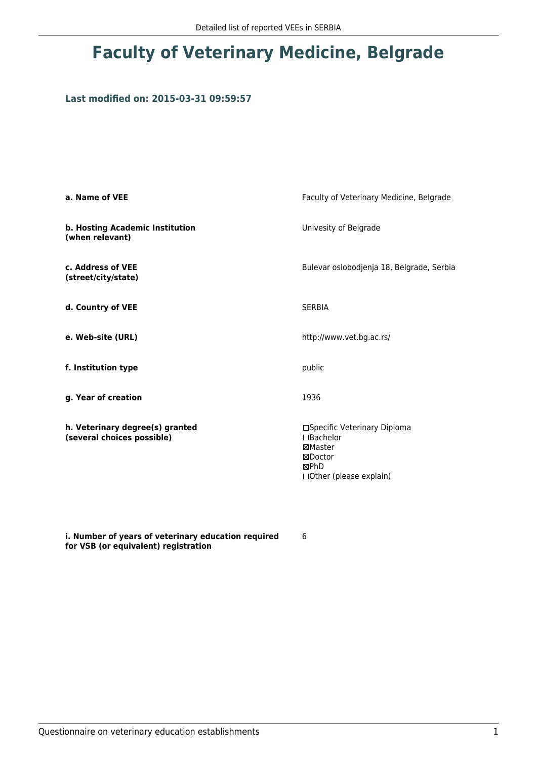## **Faculty of Veterinary Medicine, Belgrade**

## **Last modified on: 2015-03-31 09:59:57**

| a. Name of VEE                                                | Faculty of Veterinary Medicine, Belgrade                                                           |  |
|---------------------------------------------------------------|----------------------------------------------------------------------------------------------------|--|
| b. Hosting Academic Institution<br>(when relevant)            | Univesity of Belgrade                                                                              |  |
| c. Address of VEE<br>(street/city/state)                      | Bulevar oslobodjenja 18, Belgrade, Serbia                                                          |  |
| d. Country of VEE                                             | <b>SERBIA</b>                                                                                      |  |
| e. Web-site (URL)                                             | http://www.vet.bg.ac.rs/                                                                           |  |
| f. Institution type                                           | public                                                                                             |  |
| g. Year of creation                                           | 1936                                                                                               |  |
| h. Veterinary degree(s) granted<br>(several choices possible) | □Specific Veterinary Diploma<br>□Bachelor<br>⊠Master<br>⊠Doctor<br>⊠PhD<br>□Other (please explain) |  |

**i. Number of years of veterinary education required for VSB (or equivalent) registration**

6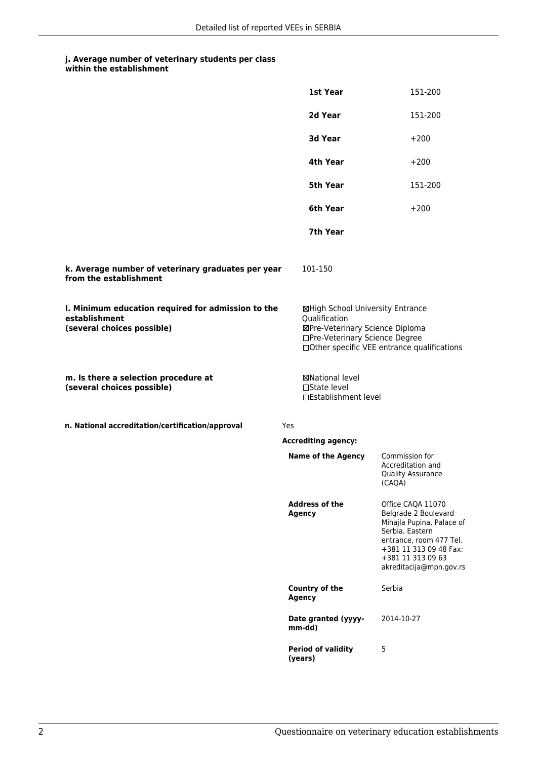## **j. Average number of veterinary students per class**

| within the establishment |
|--------------------------|
|                          |

|                                                                                                   | 1st Year                                                                                                                                                              | 151-200                                                                                                                                                                                        |
|---------------------------------------------------------------------------------------------------|-----------------------------------------------------------------------------------------------------------------------------------------------------------------------|------------------------------------------------------------------------------------------------------------------------------------------------------------------------------------------------|
|                                                                                                   | 2d Year                                                                                                                                                               | 151-200                                                                                                                                                                                        |
|                                                                                                   | <b>3d Year</b>                                                                                                                                                        | $+200$                                                                                                                                                                                         |
|                                                                                                   | 4th Year                                                                                                                                                              | $+200$                                                                                                                                                                                         |
|                                                                                                   | 5th Year                                                                                                                                                              | 151-200                                                                                                                                                                                        |
|                                                                                                   | 6th Year                                                                                                                                                              | $+200$                                                                                                                                                                                         |
|                                                                                                   | 7th Year                                                                                                                                                              |                                                                                                                                                                                                |
| k. Average number of veterinary graduates per year<br>from the establishment                      | 101-150                                                                                                                                                               |                                                                                                                                                                                                |
| I. Minimum education required for admission to the<br>establishment<br>(several choices possible) | ⊠High School University Entrance<br>Qualification<br>⊠Pre-Veterinary Science Diploma<br>□Pre-Veterinary Science Degree<br>□Other specific VEE entrance qualifications |                                                                                                                                                                                                |
| m. Is there a selection procedure at<br>(several choices possible)                                | ⊠National level<br>$\Box$ State level<br>□Establishment level                                                                                                         |                                                                                                                                                                                                |
| n. National accreditation/certification/approval                                                  | Yes                                                                                                                                                                   |                                                                                                                                                                                                |
|                                                                                                   | <b>Accrediting agency:</b>                                                                                                                                            |                                                                                                                                                                                                |
|                                                                                                   | <b>Name of the Agency</b>                                                                                                                                             | Commission for<br>Accreditation and<br><b>Quality Assurance</b><br>(CAQA)                                                                                                                      |
|                                                                                                   | <b>Address of the</b><br><b>Agency</b>                                                                                                                                | Office CAQA 11070<br>Belgrade 2 Boulevard<br>Mihajla Pupina, Palace of<br>Serbia, Eastern<br>entrance, room 477 Tel.<br>+381 11 313 09 48 Fax:<br>+381 11 313 09 63<br>akreditacija@mpn.gov.rs |
|                                                                                                   | Country of the<br>Agency                                                                                                                                              | Serbia                                                                                                                                                                                         |
|                                                                                                   | Date granted (yyyy-<br>mm-dd)                                                                                                                                         | 2014-10-27                                                                                                                                                                                     |
|                                                                                                   | <b>Period of validity</b><br>(years)                                                                                                                                  | 5                                                                                                                                                                                              |